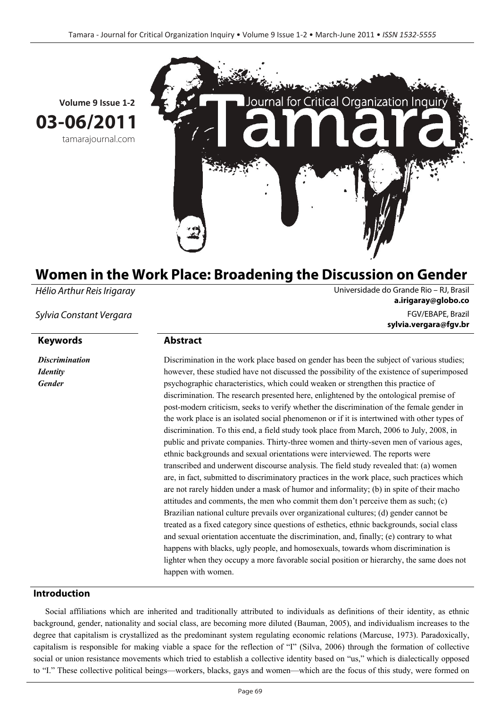

**Volume 9 Issue 1-2 03-06/2011** tamarajournal.com

# **Women in the Work Place: Broadening the Discussion on Gender**

Hélio Arthur Reis Irigaray Universidade do Grande Rio – RJ, Brasil

*Discrimination Identity Gender* 

**a.irigaray@globo.co** Sylvia Constant Vergara FGV/EBAPE, Brazil **sylvia.vergara@fgv.br**

# **Keywords Abstract**

Discrimination in the work place based on gender has been the subject of various studies; however, these studied have not discussed the possibility of the existence of superimposed psychographic characteristics, which could weaken or strengthen this practice of discrimination. The research presented here, enlightened by the ontological premise of post-modern criticism, seeks to verify whether the discrimination of the female gender in the work place is an isolated social phenomenon or if it is intertwined with other types of discrimination. To this end, a field study took place from March, 2006 to July, 2008, in public and private companies. Thirty-three women and thirty-seven men of various ages, ethnic backgrounds and sexual orientations were interviewed. The reports were transcribed and underwent discourse analysis. The field study revealed that: (a) women are, in fact, submitted to discriminatory practices in the work place, such practices which are not rarely hidden under a mask of humor and informality; (b) in spite of their macho attitudes and comments, the men who commit them don't perceive them as such; (c) Brazilian national culture prevails over organizational cultures; (d) gender cannot be treated as a fixed category since questions of esthetics, ethnic backgrounds, social class and sexual orientation accentuate the discrimination, and, finally; (e) contrary to what happens with blacks, ugly people, and homosexuals, towards whom discrimination is lighter when they occupy a more favorable social position or hierarchy, the same does not happen with women.

# **Introduction**

Social affiliations which are inherited and traditionally attributed to individuals as definitions of their identity, as ethnic background, gender, nationality and social class, are becoming more diluted (Bauman, 2005), and individualism increases to the degree that capitalism is crystallized as the predominant system regulating economic relations (Marcuse, 1973). Paradoxically, capitalism is responsible for making viable a space for the reflection of "I" (Silva, 2006) through the formation of collective social or union resistance movements which tried to establish a collective identity based on "us," which is dialectically opposed to "I." These collective political beings—workers, blacks, gays and women—which are the focus of this study, were formed on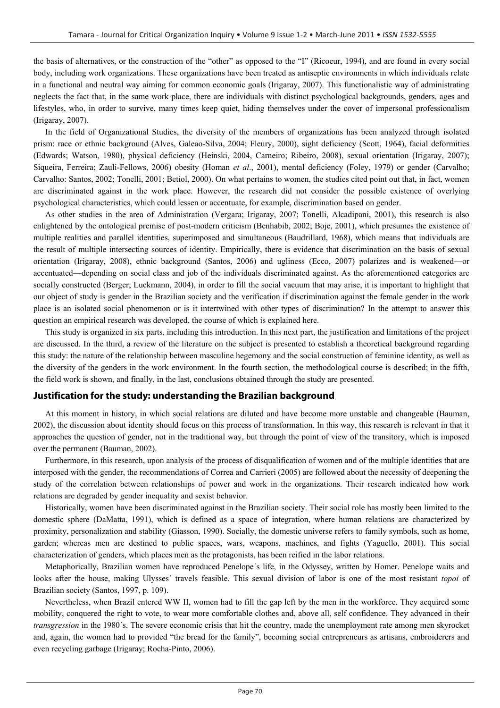the basis of alternatives, or the construction of the "other" as opposed to the "I" (Ricoeur, 1994), and are found in every social body, including work organizations. These organizations have been treated as antiseptic environments in which individuals relate in a functional and neutral way aiming for common economic goals (Irigaray, 2007). This functionalistic way of administrating neglects the fact that, in the same work place, there are individuals with distinct psychological backgrounds, genders, ages and lifestyles, who, in order to survive, many times keep quiet, hiding themselves under the cover of impersonal professionalism (Irigaray, 2007).

In the field of Organizational Studies, the diversity of the members of organizations has been analyzed through isolated prism: race or ethnic background (Alves, Galeao-Silva, 2004; Fleury, 2000), sight deficiency (Scott, 1964), facial deformities (Edwards; Watson, 1980), physical deficiency (Heinski, 2004, Carneiro; Ribeiro, 2008), sexual orientation (Irigaray, 2007); Siqueira, Ferreira; Zauli-Fellows, 2006) obesity (Homan *et al*., 2001), mental deficiency (Foley, 1979) or gender (Carvalho; Carvalho: Santos, 2002; Tonelli, 2001; Betiol, 2000). On what pertains to women, the studies cited point out that, in fact, women are discriminated against in the work place. However, the research did not consider the possible existence of overlying psychological characteristics, which could lessen or accentuate, for example, discrimination based on gender.

As other studies in the area of Administration (Vergara; Irigaray, 2007; Tonelli, Alcadipani, 2001), this research is also enlightened by the ontological premise of post-modern criticism (Benhabib, 2002; Boje, 2001), which presumes the existence of multiple realities and parallel identities, superimposed and simultaneous (Baudrillard, 1968), which means that individuals are the result of multiple intersecting sources of identity. Empirically, there is evidence that discrimination on the basis of sexual orientation (Irigaray, 2008), ethnic background (Santos, 2006) and ugliness (Ecco, 2007) polarizes and is weakened—or accentuated—depending on social class and job of the individuals discriminated against. As the aforementioned categories are socially constructed (Berger; Luckmann, 2004), in order to fill the social vacuum that may arise, it is important to highlight that our object of study is gender in the Brazilian society and the verification if discrimination against the female gender in the work place is an isolated social phenomenon or is it intertwined with other types of discrimination? In the attempt to answer this question an empirical research was developed, the course of which is explained here.

This study is organized in six parts, including this introduction. In this next part, the justification and limitations of the project are discussed. In the third, a review of the literature on the subject is presented to establish a theoretical background regarding this study: the nature of the relationship between masculine hegemony and the social construction of feminine identity, as well as the diversity of the genders in the work environment. In the fourth section, the methodological course is described; in the fifth, the field work is shown, and finally, in the last, conclusions obtained through the study are presented.

## **Justification for the study: understanding the Brazilian background**

At this moment in history, in which social relations are diluted and have become more unstable and changeable (Bauman, 2002), the discussion about identity should focus on this process of transformation. In this way, this research is relevant in that it approaches the question of gender, not in the traditional way, but through the point of view of the transitory, which is imposed over the permanent (Bauman, 2002).

Furthermore, in this research, upon analysis of the process of disqualification of women and of the multiple identities that are interposed with the gender, the recommendations of Correa and Carrieri (2005) are followed about the necessity of deepening the study of the correlation between relationships of power and work in the organizations. Their research indicated how work relations are degraded by gender inequality and sexist behavior.

Historically, women have been discriminated against in the Brazilian society. Their social role has mostly been limited to the domestic sphere (DaMatta, 1991), which is defined as a space of integration, where human relations are characterized by proximity, personalization and stability (Giasson, 1990). Socially, the domestic universe refers to family symbols, such as home, garden; whereas men are destined to public spaces, wars, weapons, machines, and fights (Yaguello, 2001). This social characterization of genders, which places men as the protagonists, has been reified in the labor relations.

Metaphorically, Brazilian women have reproduced Penelope´s life, in the Odyssey, written by Homer. Penelope waits and looks after the house, making Ulysses´ travels feasible. This sexual division of labor is one of the most resistant *topoi* of Brazilian society (Santos, 1997, p. 109).

Nevertheless, when Brazil entered WW II, women had to fill the gap left by the men in the workforce. They acquired some mobility, conquered the right to vote, to wear more comfortable clothes and, above all, self confidence. They advanced in their *transgression* in the 1980's. The severe economic crisis that hit the country, made the unemployment rate among men skyrocket and, again, the women had to provided "the bread for the family", becoming social entrepreneurs as artisans, embroiderers and even recycling garbage (Irigaray; Rocha-Pinto, 2006).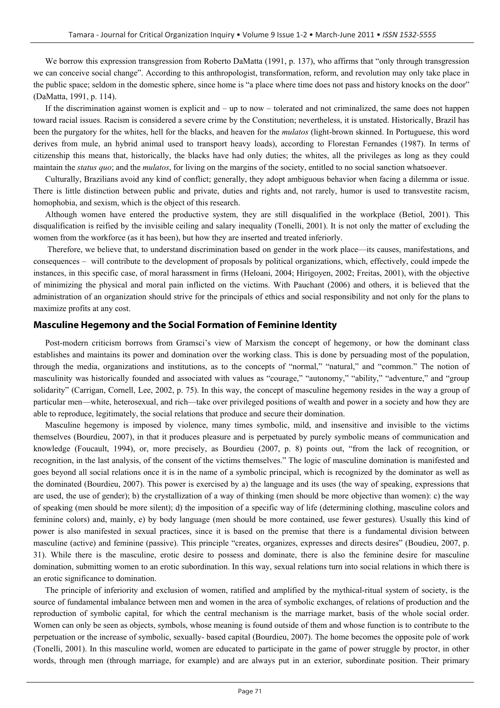We borrow this expression transgression from Roberto DaMatta (1991, p. 137), who affirms that "only through transgression we can conceive social change". According to this anthropologist, transformation, reform, and revolution may only take place in the public space; seldom in the domestic sphere, since home is "a place where time does not pass and history knocks on the door" (DaMatta, 1991, p. 114).

If the discrimination against women is explicit and – up to now – tolerated and not criminalized, the same does not happen toward racial issues. Racism is considered a severe crime by the Constitution; nevertheless, it is unstated. Historically, Brazil has been the purgatory for the whites, hell for the blacks, and heaven for the *mulatos* (light-brown skinned. In Portuguese, this word derives from mule, an hybrid animal used to transport heavy loads), according to Florestan Fernandes (1987). In terms of citizenship this means that, historically, the blacks have had only duties; the whites, all the privileges as long as they could maintain the *status quo*; and the *mulatos*, for living on the margins of the society, entitled to no social sanction whatsoever.

Culturally, Brazilians avoid any kind of conflict; generally, they adopt ambiguous behavior when facing a dilemma or issue. There is little distinction between public and private, duties and rights and, not rarely, humor is used to transvestite racism, homophobia, and sexism, which is the object of this research.

Although women have entered the productive system, they are still disqualified in the workplace (Betiol, 2001). This disqualification is reified by the invisible ceiling and salary inequality (Tonelli, 2001). It is not only the matter of excluding the women from the workforce (as it has been), but how they are inserted and treated inferiorly.

 Therefore, we believe that, to understand discrimination based on gender in the work place—its causes, manifestations, and consequences – will contribute to the development of proposals by political organizations, which, effectively, could impede the instances, in this specific case, of moral harassment in firms (Heloani, 2004; Hirigoyen, 2002; Freitas, 2001), with the objective of minimizing the physical and moral pain inflicted on the victims. With Pauchant (2006) and others, it is believed that the administration of an organization should strive for the principals of ethics and social responsibility and not only for the plans to maximize profits at any cost.

#### **Masculine Hegemony and the Social Formation of Feminine Identity**

Post-modern criticism borrows from Gramsci's view of Marxism the concept of hegemony, or how the dominant class establishes and maintains its power and domination over the working class. This is done by persuading most of the population, through the media, organizations and institutions, as to the concepts of "normal," "natural," and "common." The notion of masculinity was historically founded and associated with values as "courage," "autonomy," "ability," "adventure," and "group solidarity" (Carrigan, Cornell, Lee, 2002, p. 75). In this way, the concept of masculine hegemony resides in the way a group of particular men—white, heterosexual, and rich—take over privileged positions of wealth and power in a society and how they are able to reproduce, legitimately, the social relations that produce and secure their domination.

Masculine hegemony is imposed by violence, many times symbolic, mild, and insensitive and invisible to the victims themselves (Bourdieu, 2007), in that it produces pleasure and is perpetuated by purely symbolic means of communication and knowledge (Foucault, 1994), or, more precisely, as Bourdieu (2007, p. 8) points out, "from the lack of recognition, or recognition, in the last analysis, of the consent of the victims themselves." The logic of masculine domination is manifested and goes beyond all social relations once it is in the name of a symbolic principal, which is recognized by the dominator as well as the dominated (Bourdieu, 2007). This power is exercised by a) the language and its uses (the way of speaking, expressions that are used, the use of gender); b) the crystallization of a way of thinking (men should be more objective than women): c) the way of speaking (men should be more silent); d) the imposition of a specific way of life (determining clothing, masculine colors and feminine colors) and, mainly, e) by body language (men should be more contained, use fewer gestures). Usually this kind of power is also manifested in sexual practices, since it is based on the premise that there is a fundamental division between masculine (active) and feminine (passive). This principle "creates, organizes, expresses and directs desires" (Boudieu, 2007, p. 31). While there is the masculine, erotic desire to possess and dominate, there is also the feminine desire for masculine domination, submitting women to an erotic subordination. In this way, sexual relations turn into social relations in which there is an erotic significance to domination.

The principle of inferiority and exclusion of women, ratified and amplified by the mythical-ritual system of society, is the source of fundamental imbalance between men and women in the area of symbolic exchanges, of relations of production and the reproduction of symbolic capital, for which the central mechanism is the marriage market, basis of the whole social order. Women can only be seen as objects, symbols, whose meaning is found outside of them and whose function is to contribute to the perpetuation or the increase of symbolic, sexually- based capital (Bourdieu, 2007). The home becomes the opposite pole of work (Tonelli, 2001). In this masculine world, women are educated to participate in the game of power struggle by proctor, in other words, through men (through marriage, for example) and are always put in an exterior, subordinate position. Their primary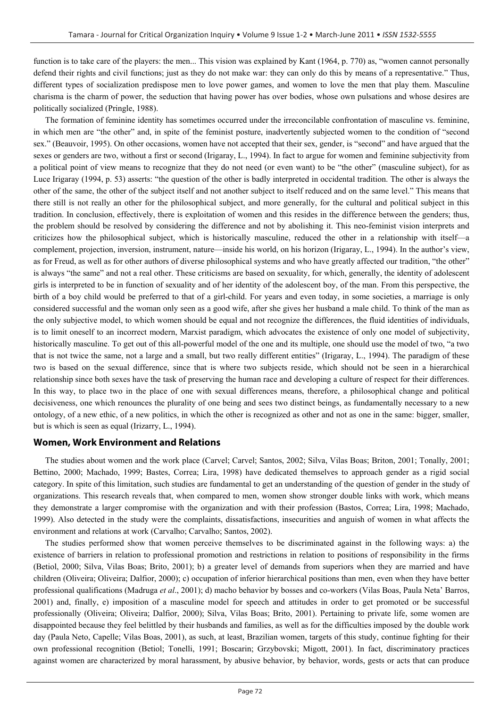function is to take care of the players: the men... This vision was explained by Kant (1964, p. 770) as, "women cannot personally defend their rights and civil functions; just as they do not make war: they can only do this by means of a representative." Thus, different types of socialization predispose men to love power games, and women to love the men that play them. Masculine charisma is the charm of power, the seduction that having power has over bodies, whose own pulsations and whose desires are politically socialized (Pringle, 1988).

The formation of feminine identity has sometimes occurred under the irreconcilable confrontation of masculine vs. feminine, in which men are "the other" and, in spite of the feminist posture, inadvertently subjected women to the condition of "second sex." (Beauvoir, 1995). On other occasions, women have not accepted that their sex, gender, is "second" and have argued that the sexes or genders are two, without a first or second (Irigaray, L., 1994). In fact to argue for women and feminine subjectivity from a political point of view means to recognize that they do not need (or even want) to be "the other" (masculine subject), for as Luce Irigaray (1994, p. 53) asserts: "the question of the other is badly interpreted in occidental tradition. The other is always the other of the same, the other of the subject itself and not another subject to itself reduced and on the same level." This means that there still is not really an other for the philosophical subject, and more generally, for the cultural and political subject in this tradition. In conclusion, effectively, there is exploitation of women and this resides in the difference between the genders; thus, the problem should be resolved by considering the difference and not by abolishing it. This neo-feminist vision interprets and criticizes how the philosophical subject, which is historically masculine, reduced the other in a relationship with itself—a complement, projection, inversion, instrument, nature—inside his world, on his horizon (Irigaray, L., 1994). In the author's view, as for Freud, as well as for other authors of diverse philosophical systems and who have greatly affected our tradition, "the other" is always "the same" and not a real other. These criticisms are based on sexuality, for which, generally, the identity of adolescent girls is interpreted to be in function of sexuality and of her identity of the adolescent boy, of the man. From this perspective, the birth of a boy child would be preferred to that of a girl-child. For years and even today, in some societies, a marriage is only considered successful and the woman only seen as a good wife, after she gives her husband a male child. To think of the man as the only subjective model, to which women should be equal and not recognize the differences, the fluid identities of individuals, is to limit oneself to an incorrect modern, Marxist paradigm, which advocates the existence of only one model of subjectivity, historically masculine. To get out of this all-powerful model of the one and its multiple, one should use the model of two, "a two that is not twice the same, not a large and a small, but two really different entities" (Irigaray, L., 1994). The paradigm of these two is based on the sexual difference, since that is where two subjects reside, which should not be seen in a hierarchical relationship since both sexes have the task of preserving the human race and developing a culture of respect for their differences. In this way, to place two in the place of one with sexual differences means, therefore, a philosophical change and political decisiveness, one which renounces the plurality of one being and sees two distinct beings, as fundamentally necessary to a new ontology, of a new ethic, of a new politics, in which the other is recognized as other and not as one in the same: bigger, smaller, but is which is seen as equal (Irizarry, L., 1994).

## **Women, Work Environment and Relations**

The studies about women and the work place (Carvel; Carvel; Santos, 2002; Silva, Vilas Boas; Briton, 2001; Tonally, 2001; Bettino, 2000; Machado, 1999; Bastes, Correa; Lira, 1998) have dedicated themselves to approach gender as a rigid social category. In spite of this limitation, such studies are fundamental to get an understanding of the question of gender in the study of organizations. This research reveals that, when compared to men, women show stronger double links with work, which means they demonstrate a larger compromise with the organization and with their profession (Bastos, Correa; Lira, 1998; Machado, 1999). Also detected in the study were the complaints, dissatisfactions, insecurities and anguish of women in what affects the environment and relations at work (Carvalho; Carvalho; Santos, 2002).

The studies performed show that women perceive themselves to be discriminated against in the following ways: a) the existence of barriers in relation to professional promotion and restrictions in relation to positions of responsibility in the firms (Betiol, 2000; Silva, Vilas Boas; Brito, 2001); b) a greater level of demands from superiors when they are married and have children (Oliveira; Oliveira; Dalfior, 2000); c) occupation of inferior hierarchical positions than men, even when they have better professional qualifications (Madruga *et al*., 2001); d) macho behavior by bosses and co-workers (Vilas Boas, Paula Neta' Barros, 2001) and, finally, e) imposition of a masculine model for speech and attitudes in order to get promoted or be successful professionally (Oliveira; Oliveira; Dalfior, 2000); Silva, Vilas Boas; Brito, 2001). Pertaining to private life, some women are disappointed because they feel belittled by their husbands and families, as well as for the difficulties imposed by the double work day (Paula Neto, Capelle; Vilas Boas, 2001), as such, at least, Brazilian women, targets of this study, continue fighting for their own professional recognition (Betiol; Tonelli, 1991; Boscarin; Grzybovski; Migott, 2001). In fact, discriminatory practices against women are characterized by moral harassment, by abusive behavior, by behavior, words, gests or acts that can produce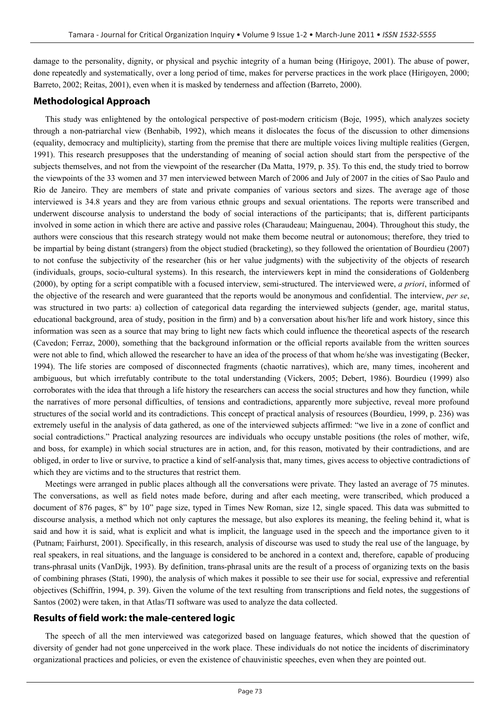damage to the personality, dignity, or physical and psychic integrity of a human being (Hirigoye, 2001). The abuse of power, done repeatedly and systematically, over a long period of time, makes for perverse practices in the work place (Hirigoyen, 2000; Barreto, 2002; Reitas, 2001), even when it is masked by tenderness and affection (Barreto, 2000).

## **Methodological Approach**

This study was enlightened by the ontological perspective of post-modern criticism (Boje, 1995), which analyzes society through a non-patriarchal view (Benhabib, 1992), which means it dislocates the focus of the discussion to other dimensions (equality, democracy and multiplicity), starting from the premise that there are multiple voices living multiple realities (Gergen, 1991). This research presupposes that the understanding of meaning of social action should start from the perspective of the subjects themselves, and not from the viewpoint of the researcher (Da Matta, 1979, p. 35). To this end, the study tried to borrow the viewpoints of the 33 women and 37 men interviewed between March of 2006 and July of 2007 in the cities of Sao Paulo and Rio de Janeiro. They are members of state and private companies of various sectors and sizes. The average age of those interviewed is 34.8 years and they are from various ethnic groups and sexual orientations. The reports were transcribed and underwent discourse analysis to understand the body of social interactions of the participants; that is, different participants involved in some action in which there are active and passive roles (Charaudeau; Mainguenau, 2004). Throughout this study, the authors were conscious that this research strategy would not make them become neutral or autonomous; therefore, they tried to be impartial by being distant (strangers) from the object studied (bracketing), so they followed the orientation of Bourdieu (2007) to not confuse the subjectivity of the researcher (his or her value judgments) with the subjectivity of the objects of research (individuals, groups, socio-cultural systems). In this research, the interviewers kept in mind the considerations of Goldenberg (2000), by opting for a script compatible with a focused interview, semi-structured. The interviewed were, *a priori*, informed of the objective of the research and were guaranteed that the reports would be anonymous and confidential. The interview, *per se*, was structured in two parts: a) collection of categorical data regarding the interviewed subjects (gender, age, marital status, educational background, area of study, position in the firm) and b) a conversation about his/her life and work history, since this information was seen as a source that may bring to light new facts which could influence the theoretical aspects of the research (Cavedon; Ferraz, 2000), something that the background information or the official reports available from the written sources were not able to find, which allowed the researcher to have an idea of the process of that whom he/she was investigating (Becker, 1994). The life stories are composed of disconnected fragments (chaotic narratives), which are, many times, incoherent and ambiguous, but which irrefutably contribute to the total understanding (Vickers, 2005; Debert, 1986). Bourdieu (1999) also corroborates with the idea that through a life history the researchers can access the social structures and how they function, while the narratives of more personal difficulties, of tensions and contradictions, apparently more subjective, reveal more profound structures of the social world and its contradictions. This concept of practical analysis of resources (Bourdieu, 1999, p. 236) was extremely useful in the analysis of data gathered, as one of the interviewed subjects affirmed: "we live in a zone of conflict and social contradictions." Practical analyzing resources are individuals who occupy unstable positions (the roles of mother, wife, and boss, for example) in which social structures are in action, and, for this reason, motivated by their contradictions, and are obliged, in order to live or survive, to practice a kind of self-analysis that, many times, gives access to objective contradictions of which they are victims and to the structures that restrict them.

Meetings were arranged in public places although all the conversations were private. They lasted an average of 75 minutes. The conversations, as well as field notes made before, during and after each meeting, were transcribed, which produced a document of 876 pages, 8" by 10" page size, typed in Times New Roman, size 12, single spaced. This data was submitted to discourse analysis, a method which not only captures the message, but also explores its meaning, the feeling behind it, what is said and how it is said, what is explicit and what is implicit, the language used in the speech and the importance given to it (Putnam; Fairhurst, 2001). Specifically, in this research, analysis of discourse was used to study the real use of the language, by real speakers, in real situations, and the language is considered to be anchored in a context and, therefore, capable of producing trans-phrasal units (VanDijk, 1993). By definition, trans-phrasal units are the result of a process of organizing texts on the basis of combining phrases (Stati, 1990), the analysis of which makes it possible to see their use for social, expressive and referential objectives (Schiffrin, 1994, p. 39). Given the volume of the text resulting from transcriptions and field notes, the suggestions of Santos (2002) were taken, in that Atlas/TI software was used to analyze the data collected.

## **Results of field work: the male-centered logic**

The speech of all the men interviewed was categorized based on language features, which showed that the question of diversity of gender had not gone unperceived in the work place. These individuals do not notice the incidents of discriminatory organizational practices and policies, or even the existence of chauvinistic speeches, even when they are pointed out.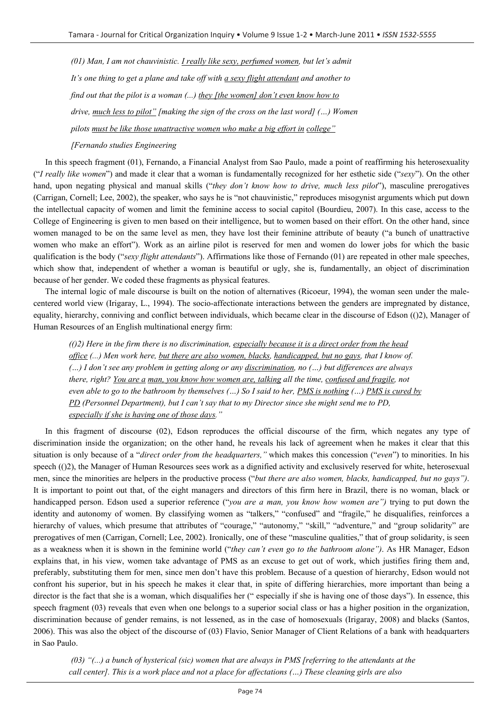*(01) Man, I am not chauvinistic. I really like sexy, perfumed women, but let's admit It's one thing to get a plane and take off with a sexy flight attendant and another to find out that the pilot is a woman (...) they [the women] don't even know how to drive, much less to pilot" [making the sign of the cross on the last word] (…) Women pilots must be like those unattractive women who make a big effort in college"* 

#### *[Fernando studies Engineering*

In this speech fragment (01), Fernando, a Financial Analyst from Sao Paulo, made a point of reaffirming his heterosexuality ("*I really like women*") and made it clear that a woman is fundamentally recognized for her esthetic side ("*sexy*"). On the other hand, upon negating physical and manual skills ("*they don't know how to drive, much less pilot*"), masculine prerogatives (Carrigan, Cornell; Lee, 2002), the speaker, who says he is "not chauvinistic," reproduces misogynist arguments which put down the intellectual capacity of women and limit the feminine access to social capitol (Bourdieu, 2007). In this case, access to the College of Engineering is given to men based on their intelligence, but to women based on their effort. On the other hand, since women managed to be on the same level as men, they have lost their feminine attribute of beauty ("a bunch of unattractive women who make an effort"). Work as an airline pilot is reserved for men and women do lower jobs for which the basic qualification is the body ("*sexy flight attendants*"). Affirmations like those of Fernando (01) are repeated in other male speeches, which show that, independent of whether a woman is beautiful or ugly, she is, fundamentally, an object of discrimination because of her gender. We coded these fragments as physical features.

The internal logic of male discourse is built on the notion of alternatives (Ricoeur, 1994), the woman seen under the malecentered world view (Irigaray, L., 1994). The socio-affectionate interactions between the genders are impregnated by distance, equality, hierarchy, conniving and conflict between individuals, which became clear in the discourse of Edson (()2), Manager of Human Resources of an English multinational energy firm:

*(()2) Here in the firm there is no discrimination, especially because it is a direct order from the head office (...) Men work here, but there are also women, blacks, handicapped, but no gays, that I know of. (…) I don't see any problem in getting along or any discrimination, no (…) but differences are always there, right? You are a man, you know how women are, talking all the time, confused and fragile, not even able to go to the bathroom by themselves (…) So I said to her, PMS is nothing (…) PMS is cured by PD (Personnel Department), but I can't say that to my Director since she might send me to PD, especially if she is having one of those days."* 

In this fragment of discourse (02), Edson reproduces the official discourse of the firm, which negates any type of discrimination inside the organization; on the other hand, he reveals his lack of agreement when he makes it clear that this situation is only because of a "*direct order from the headquarters,"* which makes this concession ("*even*") to minorities. In his speech (()2), the Manager of Human Resources sees work as a dignified activity and exclusively reserved for white, heterosexual men, since the minorities are helpers in the productive process ("*but there are also women, blacks, handicapped, but no gays")*. It is important to point out that, of the eight managers and directors of this firm here in Brazil, there is no woman, black or handicapped person. Edson used a superior reference ("*you are a man, you know how women are")* trying to put down the identity and autonomy of women. By classifying women as "talkers," "confused" and "fragile," he disqualifies, reinforces a hierarchy of values, which presume that attributes of "courage," "autonomy," "skill," "adventure," and "group solidarity" are prerogatives of men (Carrigan, Cornell; Lee, 2002). Ironically, one of these "masculine qualities," that of group solidarity, is seen as a weakness when it is shown in the feminine world ("*they can't even go to the bathroom alone")*. As HR Manager, Edson explains that, in his view, women take advantage of PMS as an excuse to get out of work, which justifies firing them and, preferably, substituting them for men, since men don't have this problem. Because of a question of hierarchy, Edson would not confront his superior, but in his speech he makes it clear that, in spite of differing hierarchies, more important than being a director is the fact that she is a woman, which disqualifies her (" especially if she is having one of those days"). In essence, this speech fragment (03) reveals that even when one belongs to a superior social class or has a higher position in the organization, discrimination because of gender remains, is not lessened, as in the case of homosexuals (Irigaray, 2008) and blacks (Santos, 2006). This was also the object of the discourse of (03) Flavio, Senior Manager of Client Relations of a bank with headquarters in Sao Paulo.

 *(03) "(...) a bunch of hysterical (sic) women that are always in PMS [referring to the attendants at the call center]. This is a work place and not a place for affectations (…) These cleaning girls are also*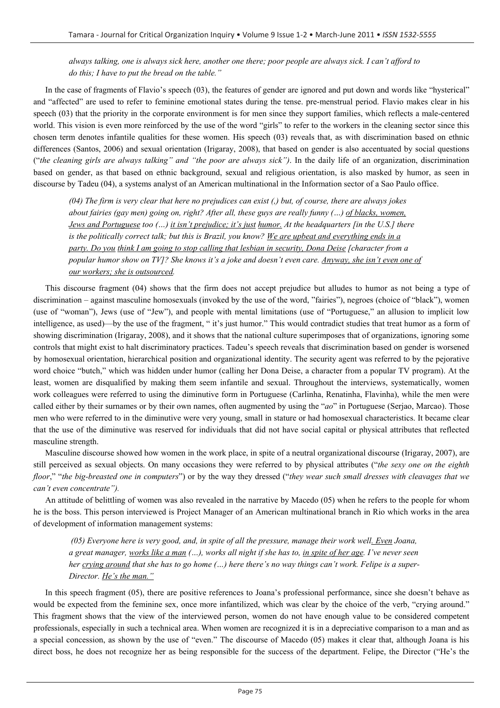*always talking, one is always sick here, another one there; poor people are always sick. I can't afford to do this; I have to put the bread on the table."* 

In the case of fragments of Flavio's speech (03), the features of gender are ignored and put down and words like "hysterical" and "affected" are used to refer to feminine emotional states during the tense. pre-menstrual period. Flavio makes clear in his speech (03) that the priority in the corporate environment is for men since they support families, which reflects a male-centered world. This vision is even more reinforced by the use of the word "girls" to refer to the workers in the cleaning sector since this chosen term denotes infantile qualities for these women. His speech (03) reveals that, as with discrimination based on ethnic differences (Santos, 2006) and sexual orientation (Irigaray, 2008), that based on gender is also accentuated by social questions ("*the cleaning girls are always talking" and "the poor are always sick")*. In the daily life of an organization, discrimination based on gender, as that based on ethnic background, sexual and religious orientation, is also masked by humor, as seen in discourse by Tadeu (04), a systems analyst of an American multinational in the Information sector of a Sao Paulo office.

*(04) The firm is very clear that here no prejudices can exist (,) but, of course, there are always jokes about fairies (gay men) going on, right? After all, these guys are really funny (…) of blacks, women, Jews and Portuguese too (…) it isn't prejudice; it's just humor. At the headquarters [in the U.S.] there is the politically correct talk; but this is Brazil, you know? We are upbeat and everything ends in a party. Do you think I am going to stop calling that lesbian in security, Dona Deise [character from a popular humor show on TV]? She knows it's a joke and doesn't even care. Anyway, she isn't even one of our workers; she is outsourced.* 

This discourse fragment (04) shows that the firm does not accept prejudice but alludes to humor as not being a type of discrimination – against masculine homosexuals (invoked by the use of the word, "fairies"), negroes (choice of "black"), women (use of "woman"), Jews (use of "Jew"), and people with mental limitations (use of "Portuguese," an allusion to implicit low intelligence, as used)—by the use of the fragment, "it's just humor." This would contradict studies that treat humor as a form of showing discrimination (Irigaray, 2008), and it shows that the national culture superimposes that of organizations, ignoring some controls that might exist to halt discriminatory practices. Tadeu's speech reveals that discrimination based on gender is worsened by homosexual orientation, hierarchical position and organizational identity. The security agent was referred to by the pejorative word choice "butch," which was hidden under humor (calling her Dona Deise, a character from a popular TV program). At the least, women are disqualified by making them seem infantile and sexual. Throughout the interviews, systematically, women work colleagues were referred to using the diminutive form in Portuguese (Carlinha, Renatinha, Flavinha), while the men were called either by their surnames or by their own names, often augmented by using the "*ao*" in Portuguese (Serjao, Marcao). Those men who were referred to in the diminutive were very young, small in stature or had homosexual characteristics. It became clear that the use of the diminutive was reserved for individuals that did not have social capital or physical attributes that reflected masculine strength.

Masculine discourse showed how women in the work place, in spite of a neutral organizational discourse (Irigaray, 2007), are still perceived as sexual objects. On many occasions they were referred to by physical attributes ("*the sexy one on the eighth floor*," "*the big-breasted one in computers*") or by the way they dressed ("*they wear such small dresses with cleavages that we can't even concentrate").* 

An attitude of belittling of women was also revealed in the narrative by Macedo (05) when he refers to the people for whom he is the boss. This person interviewed is Project Manager of an American multinational branch in Rio which works in the area of development of information management systems:

 *(05) Everyone here is very good, and, in spite of all the pressure, manage their work well. Even Joana, a great manager, works like a man (…), works all night if she has to, in spite of her age. I've never seen her crying around that she has to go home (…) here there's no way things can't work. Felipe is a super-Director. He's the man."* 

In this speech fragment (05), there are positive references to Joana's professional performance, since she doesn't behave as would be expected from the feminine sex, once more infantilized, which was clear by the choice of the verb, "crying around." This fragment shows that the view of the interviewed person, women do not have enough value to be considered competent professionals, especially in such a technical area. When women are recognized it is in a depreciative comparison to a man and as a special concession, as shown by the use of "even." The discourse of Macedo (05) makes it clear that, although Joana is his direct boss, he does not recognize her as being responsible for the success of the department. Felipe, the Director ("He's the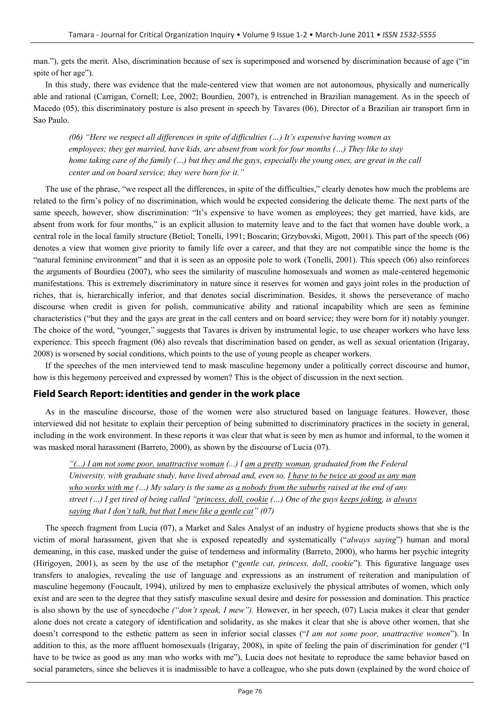man."), gets the merit. Also, discrimination because of sex is superimposed and worsened by discrimination because of age ("in spite of her age").

In this study, there was evidence that the male-centered view that women are not autonomous, physically and numerically able and rational (Carrigan, Cornell; Lee, 2002; Bourdieu, 2007), is entrenched in Brazilian management. As in the speech of Macedo (05), this discriminatory posture is also present in speech by Tavares (06), Director of a Brazilian air transport firm in Sao Paulo.

*(06) "Here we respect all differences in spite of difficulties (…) It's expensive having women as employees; they get married, have kids, are absent from work for four months (…) They like to stay home taking care of the family (…) but they and the gays, especially the young ones, are great in the call center and on board service; they were born for it."* 

The use of the phrase, "we respect all the differences, in spite of the difficulties," clearly denotes how much the problems are related to the firm's policy of no discrimination, which would be expected considering the delicate theme. The next parts of the same speech, however, show discrimination: "It's expensive to have women as employees; they get married, have kids, are absent from work for four months," is an explicit allusion to maternity leave and to the fact that women have double work, a central role in the local family structure (Betiol; Tonelli, 1991; Boscarin; Grzybovski, Migott, 2001). This part of the speech (06) denotes a view that women give priority to family life over a career, and that they are not compatible since the home is the "natural feminine environment" and that it is seen as an opposite pole to work (Tonelli, 2001). This speech (06) also reinforces the arguments of Bourdieu (2007), who sees the similarity of masculine homosexuals and women as male-centered hegemonic manifestations. This is extremely discriminatory in nature since it reserves for women and gays joint roles in the production of riches, that is, hierarchically inferior, and that denotes social discrimination. Besides, it shows the perseverance of macho discourse when credit is given for polish, communicative ability and rational incapability which are seen as feminine characteristics ("but they and the gays are great in the call centers and on board service; they were born for it) notably younger. The choice of the word, "younger," suggests that Tavares is driven by instrumental logic, to use cheaper workers who have less experience. This speech fragment (06) also reveals that discrimination based on gender, as well as sexual orientation (Irigaray, 2008) is worsened by social conditions, which points to the use of young people as cheaper workers.

If the speeches of the men interviewed tend to mask masculine hegemony under a politically correct discourse and humor, how is this hegemony perceived and expressed by women? This is the object of discussion in the next section.

# **Field Search Report: identities and gender in the work place**

As in the masculine discourse, those of the women were also structured based on language features. However, those interviewed did not hesitate to explain their perception of being submitted to discriminatory practices in the society in general, including in the work environment. In these reports it was clear that what is seen by men as humor and informal, to the women it was masked moral harassment (Barreto, 2000), as shown by the discourse of Lucia (07).

*"(...) I am not some poor, unattractive woman (...) I am a pretty woman, graduated from the Federal University, with graduate study, have lived abroad and, even so, I have to be twice as good as any man who works with me (…) My salary is the same as a nobody from the suburbs raised at the end of any street (…) I get tired of being called "princess, doll, cookie (…) One of the guys keeps joking, is always saying that I don't talk, but that I mew like a gentle cat" (07)* 

The speech fragment from Lucia (07), a Market and Sales Analyst of an industry of hygiene products shows that she is the victim of moral harassment, given that she is exposed repeatedly and systematically ("*always saying*") human and moral demeaning, in this case, masked under the guise of tenderness and informality (Barreto, 2000), who harms her psychic integrity (Hirigoyen, 2001), as seen by the use of the metaphor ("*gentle cat, princess, doll*, *cookie*"). This figurative language uses transfers to analogies, revealing the use of language and expressions as an instrument of reiteration and manipulation of masculine hegemony (Foucault, 1994), utilized by men to emphasize exclusively the physical attributes of women, which only exist and are seen to the degree that they satisfy masculine sexual desire and desire for possession and domination. This practice is also shown by the use of synecdoche *("don't speak, I mew").* However, in her speech, (07) Lucia makes it clear that gender alone does not create a category of identification and solidarity, as she makes it clear that she is above other women, that she doesn't correspond to the esthetic pattern as seen in inferior social classes ("*I am not some poor, unattractive women*"). In addition to this, as the more affluent homosexuals (Irigaray, 2008), in spite of feeling the pain of discrimination for gender ("I have to be twice as good as any man who works with me"), Lucia does not hesitate to reproduce the same behavior based on social parameters, since she believes it is inadmissible to have a colleague, who she puts down (explained by the word choice of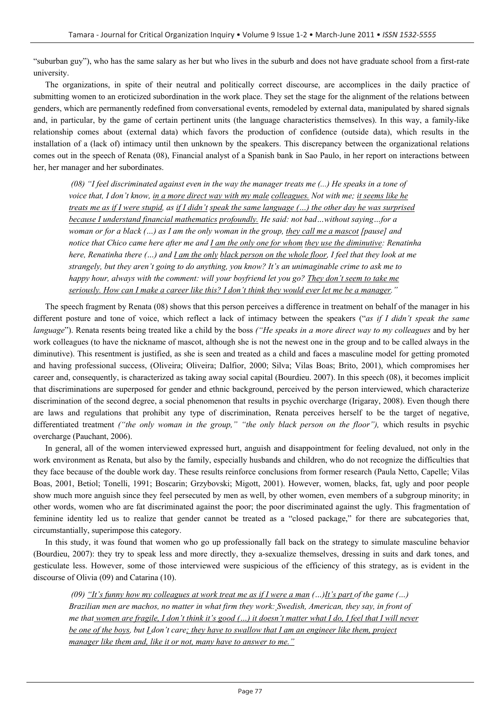"suburban guy"), who has the same salary as her but who lives in the suburb and does not have graduate school from a first-rate university.

The organizations, in spite of their neutral and politically correct discourse, are accomplices in the daily practice of submitting women to an eroticized subordination in the work place. They set the stage for the alignment of the relations between genders, which are permanently redefined from conversational events, remodeled by external data, manipulated by shared signals and, in particular, by the game of certain pertinent units (the language characteristics themselves). In this way, a family-like relationship comes about (external data) which favors the production of confidence (outside data), which results in the installation of a (lack of) intimacy until then unknown by the speakers. This discrepancy between the organizational relations comes out in the speech of Renata (08), Financial analyst of a Spanish bank in Sao Paulo, in her report on interactions between her, her manager and her subordinates.

 *(08) "I feel discriminated against even in the way the manager treats me (...) He speaks in a tone of voice that, I don't know, in a more direct way with my male colleagues. Not with me; it seems like he treats me as if I were stupid, as if I didn't speak the same language (…) the other day he was surprised because I understand financial mathematics profoundly. He said: not bad…without saying…for a woman or for a black (…) as I am the only woman in the group, they call me a mascot [pause] and notice that Chico came here after me and I am the only one for whom they use the diminutive: Renatinha here, Renatinha there (…) and I am the only black person on the whole floor, I feel that they look at me strangely, but they aren't going to do anything, you know? It's an unimaginable crime to ask me to happy hour, always with the comment: will your boyfriend let you go? They don't seem to take me seriously. How can I make a career like this? I don't think they would ever let me be a manager."* 

The speech fragment by Renata (08) shows that this person perceives a difference in treatment on behalf of the manager in his different posture and tone of voice, which reflect a lack of intimacy between the speakers ("*as if I didn't speak the same language*"). Renata resents being treated like a child by the boss *("He speaks in a more direct way to my colleagues* and by her work colleagues (to have the nickname of mascot, although she is not the newest one in the group and to be called always in the diminutive). This resentment is justified, as she is seen and treated as a child and faces a masculine model for getting promoted and having professional success, (Oliveira; Oliveira; Dalfior, 2000; Silva; Vilas Boas; Brito, 2001), which compromises her career and, consequently, is characterized as taking away social capital (Bourdieu. 2007). In this speech (08), it becomes implicit that discriminations are superposed for gender and ethnic background, perceived by the person interviewed, which characterize discrimination of the second degree, a social phenomenon that results in psychic overcharge (Irigaray, 2008). Even though there are laws and regulations that prohibit any type of discrimination, Renata perceives herself to be the target of negative, differentiated treatment *("the only woman in the group," "the only black person on the floor"),* which results in psychic overcharge (Pauchant, 2006).

In general, all of the women interviewed expressed hurt, anguish and disappointment for feeling devalued, not only in the work environment as Renata, but also by the family, especially husbands and children, who do not recognize the difficulties that they face because of the double work day. These results reinforce conclusions from former research (Paula Netto, Capelle; Vilas Boas, 2001, Betiol; Tonelli, 1991; Boscarin; Grzybovski; Migott, 2001). However, women, blacks, fat, ugly and poor people show much more anguish since they feel persecuted by men as well, by other women, even members of a subgroup minority; in other words, women who are fat discriminated against the poor; the poor discriminated against the ugly. This fragmentation of feminine identity led us to realize that gender cannot be treated as a "closed package," for there are subcategories that, circumstantially, superimpose this category.

In this study, it was found that women who go up professionally fall back on the strategy to simulate masculine behavior (Bourdieu, 2007): they try to speak less and more directly, they a-sexualize themselves, dressing in suits and dark tones, and gesticulate less. However, some of those interviewed were suspicious of the efficiency of this strategy, as is evident in the discourse of Olivia (09) and Catarina (10).

 *(09) "It's funny how my colleagues at work treat me as if I were a man (…)It's part of the game (…) Brazilian men are machos, no matter in what firm they work: Swedish, American, they say, in front of me that women are fragile, I don't think it's good (…) it doesn't matter what I do, I feel that I will never be one of the boys, but I don't care; they have to swallow that I am an engineer like them, project manager like them and, like it or not, many have to answer to me."*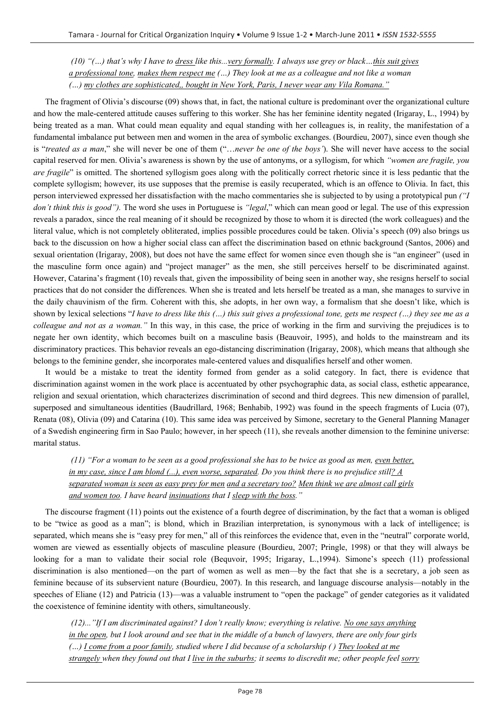*(10) "(…) that's why I have to dress like this...very formally. I always use grey or black…this suit gives a professional tone, makes them respect me (…) They look at me as a colleague and not like a woman (…) my clothes are sophisticated,, bought in New York, Paris, I never wear any Vila Romana."*

The fragment of Olivia's discourse (09) shows that, in fact, the national culture is predominant over the organizational culture and how the male-centered attitude causes suffering to this worker. She has her feminine identity negated (Irigaray, L., 1994) by being treated as a man. What could mean equality and equal standing with her colleagues is, in reality, the manifestation of a fundamental imbalance put between men and women in the area of symbolic exchanges. (Bourdieu, 2007), since even though she is "*treated as a man*," she will never be one of them ("…*never be one of the boys'*). She will never have access to the social capital reserved for men. Olivia's awareness is shown by the use of antonyms, or a syllogism, for which *"women are fragile, you are fragile*" is omitted. The shortened syllogism goes along with the politically correct rhetoric since it is less pedantic that the complete syllogism; however, its use supposes that the premise is easily recuperated, which is an offence to Olivia. In fact, this person interviewed expressed her dissatisfaction with the macho commentaries she is subjected to by using a prototypical pun *("I don't think this is good").* The word she uses in Portuguese is *"legal*," which can mean good or legal. The use of this expression reveals a paradox, since the real meaning of it should be recognized by those to whom it is directed (the work colleagues) and the literal value, which is not completely obliterated, implies possible procedures could be taken. Olivia's speech (09) also brings us back to the discussion on how a higher social class can affect the discrimination based on ethnic background (Santos, 2006) and sexual orientation (Irigaray, 2008), but does not have the same effect for women since even though she is "an engineer" (used in the masculine form once again) and "project manager" as the men, she still perceives herself to be discriminated against. However, Catarina's fragment (10) reveals that, given the impossibility of being seen in another way, she resigns herself to social practices that do not consider the differences. When she is treated and lets herself be treated as a man, she manages to survive in the daily chauvinism of the firm. Coherent with this, she adopts, in her own way, a formalism that she doesn't like, which is shown by lexical selections "*I have to dress like this (…) this suit gives a professional tone, gets me respect (…) they see me as a colleague and not as a woman."* In this way, in this case, the price of working in the firm and surviving the prejudices is to negate her own identity, which becomes built on a masculine basis (Beauvoir, 1995), and holds to the mainstream and its discriminatory practices. This behavior reveals an ego-distancing discrimination (Irigaray, 2008), which means that although she belongs to the feminine gender, she incorporates male-centered values and disqualifies herself and other women.

It would be a mistake to treat the identity formed from gender as a solid category. In fact, there is evidence that discrimination against women in the work place is accentuated by other psychographic data, as social class, esthetic appearance, religion and sexual orientation, which characterizes discrimination of second and third degrees. This new dimension of parallel, superposed and simultaneous identities (Baudrillard, 1968; Benhabib, 1992) was found in the speech fragments of Lucia (07), Renata (08), Olivia (09) and Catarina (10). This same idea was perceived by Simone, secretary to the General Planning Manager of a Swedish engineering firm in Sao Paulo; however, in her speech (11), she reveals another dimension to the feminine universe: marital status.

 *(11) "For a woman to be seen as a good professional she has to be twice as good as men, even better, in my case, since I am blond (...), even worse, separated. Do you think there is no prejudice still? A separated woman is seen as easy prey for men and a secretary too? Men think we are almost call girls and women too. I have heard insinuations that I sleep with the boss."* 

The discourse fragment (11) points out the existence of a fourth degree of discrimination, by the fact that a woman is obliged to be "twice as good as a man"; is blond, which in Brazilian interpretation, is synonymous with a lack of intelligence; is separated, which means she is "easy prey for men," all of this reinforces the evidence that, even in the "neutral" corporate world, women are viewed as essentially objects of masculine pleasure (Bourdieu, 2007; Pringle, 1998) or that they will always be looking for a man to validate their social role (Bequvoir, 1995; Irigaray, L.,1994). Simone's speech (11) professional discrimination is also mentioned—on the part of women as well as men—by the fact that she is a secretary, a job seen as feminine because of its subservient nature (Bourdieu, 2007). In this research, and language discourse analysis—notably in the speeches of Eliane (12) and Patricia (13)—was a valuable instrument to "open the package" of gender categories as it validated the coexistence of feminine identity with others, simultaneously.

 *(12)..."If I am discriminated against? I don't really know; everything is relative. No one says anything in the open, but I look around and see that in the middle of a bunch of lawyers, there are only four girls (…) I come from a poor family, studied where I did because of a scholarship ( ) They looked at me strangely when they found out that I live in the suburbs; it seems to discredit me; other people feel sorry*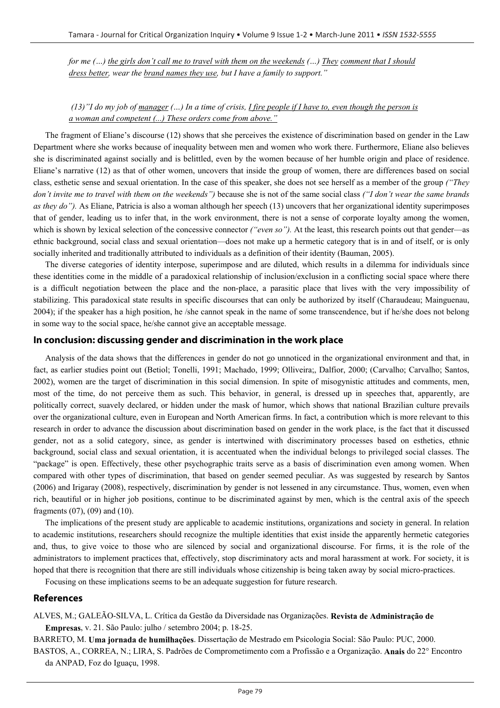*for me (...) the girls don't call me to travel with them on the weekends (...) They comment that I should dress better, wear the brand names they use, but I have a family to support."* 

 *(13)"I do my job of manager (…) In a time of crisis, I fire people if I have to, even though the person is a woman and competent (...) These orders come from above."*

The fragment of Eliane's discourse (12) shows that she perceives the existence of discrimination based on gender in the Law Department where she works because of inequality between men and women who work there. Furthermore, Eliane also believes she is discriminated against socially and is belittled, even by the women because of her humble origin and place of residence. Eliane's narrative (12) as that of other women, uncovers that inside the group of women, there are differences based on social class, esthetic sense and sexual orientation. In the case of this speaker, she does not see herself as a member of the group *("They don't invite me to travel with them on the weekends")* because she is not of the same social class *("I don't wear the same brands as they do")*. As Eliane, Patricia is also a woman although her speech (13) uncovers that her organizational identity superimposes that of gender, leading us to infer that, in the work environment, there is not a sense of corporate loyalty among the women, which is shown by lexical selection of the concessive connector *("even so")*. At the least, this research points out that gender—as ethnic background, social class and sexual orientation—does not make up a hermetic category that is in and of itself, or is only socially inherited and traditionally attributed to individuals as a definition of their identity (Bauman, 2005).

The diverse categories of identity interpose, superimpose and are diluted, which results in a dilemma for individuals since these identities come in the middle of a paradoxical relationship of inclusion/exclusion in a conflicting social space where there is a difficult negotiation between the place and the non-place, a parasitic place that lives with the very impossibility of stabilizing. This paradoxical state results in specific discourses that can only be authorized by itself (Charaudeau; Mainguenau, 2004); if the speaker has a high position, he /she cannot speak in the name of some transcendence, but if he/she does not belong in some way to the social space, he/she cannot give an acceptable message.

#### **In conclusion: discussing gender and discrimination in the work place**

Analysis of the data shows that the differences in gender do not go unnoticed in the organizational environment and that, in fact, as earlier studies point out (Betiol; Tonelli, 1991; Machado, 1999; Olliveira;, Dalfior, 2000; (Carvalho; Carvalho; Santos, 2002), women are the target of discrimination in this social dimension. In spite of misogynistic attitudes and comments, men, most of the time, do not perceive them as such. This behavior, in general, is dressed up in speeches that, apparently, are politically correct, suavely declared, or hidden under the mask of humor, which shows that national Brazilian culture prevails over the organizational culture, even in European and North American firms. In fact, a contribution which is more relevant to this research in order to advance the discussion about discrimination based on gender in the work place, is the fact that it discussed gender, not as a solid category, since, as gender is intertwined with discriminatory processes based on esthetics, ethnic background, social class and sexual orientation, it is accentuated when the individual belongs to privileged social classes. The "package" is open. Effectively, these other psychographic traits serve as a basis of discrimination even among women. When compared with other types of discrimination, that based on gender seemed peculiar. As was suggested by research by Santos (2006) and Irigaray (2008), respectively, discrimination by gender is not lessened in any circumstance. Thus, women, even when rich, beautiful or in higher job positions, continue to be discriminated against by men, which is the central axis of the speech fragments (07), (09) and (10).

The implications of the present study are applicable to academic institutions, organizations and society in general. In relation to academic institutions, researchers should recognize the multiple identities that exist inside the apparently hermetic categories and, thus, to give voice to those who are silenced by social and organizational discourse. For firms, it is the role of the administrators to implement practices that, effectively, stop discriminatory acts and moral harassment at work. For society, it is hoped that there is recognition that there are still individuals whose citizenship is being taken away by social micro-practices.

Focusing on these implications seems to be an adequate suggestion for future research.

#### **References**

ALVES, M.; GALEÃO-SILVA, L. Crítica da Gestão da Diversidade nas Organizações. **Revista de Administração de Empresas**, v. 21. São Paulo: julho / setembro 2004; p. 18-25.

BARRETO, M. **Uma jornada de humilhações**. Dissertação de Mestrado em Psicologia Social: São Paulo: PUC, 2000.

BASTOS, A., CORREA, N.; LIRA, S. Padrões de Comprometimento com a Profissão e a Organização. **Anais** do 22° Encontro da ANPAD, Foz do Iguaçu, 1998.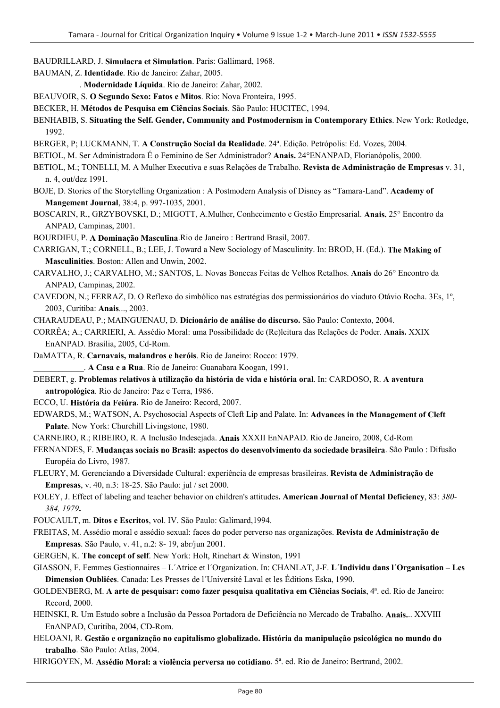BAUDRILLARD, J. **Simulacra et Simulation**. Paris: Gallimard, 1968.

BAUMAN, Z. **Identidade**. Rio de Janeiro: Zahar, 2005.

\_\_\_\_\_\_\_\_\_\_\_. **Modernidade Líquida**. Rio de Janeiro: Zahar, 2002.

BEAUVOIR, S. **O Segundo Sexo: Fatos e Mitos**. Rio: Nova Fronteira, 1995.

BECKER, H. **Métodos de Pesquisa em Ciências Sociais**. São Paulo: HUCITEC, 1994.

BENHABIB, S. **Situating the Self. Gender, Community and Postmodernism in Contemporary Ethics**. New York: Rotledge, 1992.

BERGER, P; LUCKMANN, T. **A Construção Social da Realidade**. 24ª. Edição. Petrópolis: Ed. Vozes, 2004.

BETIOL, M. Ser Administradora É o Feminino de Ser Administrador? **Anais.** 24°ENANPAD, Florianópolis, 2000.

- BETIOL, M.; TONELLI, M. A Mulher Executiva e suas Relações de Trabalho. **Revista de Administração de Empresas** v. 31, n. 4, out/dez 1991.
- BOJE, D. Stories of the Storytelling Organization : A Postmodern Analysis of Disney as "Tamara-Land". **Academy of Mangement Journal**, 38:4, p. 997-1035, 2001.

BOSCARIN, R., GRZYBOVSKI, D.; MIGOTT, A.Mulher, Conhecimento e Gestão Empresarial. **Anais.** 25° Encontro da ANPAD, Campinas, 2001.

BOURDIEU, P. **A Dominação Masculina**.Rio de Janeiro : Bertrand Brasil, 2007.

CARRIGAN, T.; CORNELL, B.; LEE, J. Toward a New Sociology of Masculinity. In: BROD, H. (Ed.). **The Making of Masculinities**. Boston: Allen and Unwin, 2002.

CARVALHO, J.; CARVALHO, M.; SANTOS, L. Novas Bonecas Feitas de Velhos Retalhos. **Anais** do 26° Encontro da ANPAD, Campinas, 2002.

CAVEDON, N.; FERRAZ, D. O Reflexo do simbólico nas estratégias dos permissionários do viaduto Otávio Rocha. 3Es, 1º, 2003, Curitiba: **Anais**..., 2003.

CHARAUDEAU, P.; MAINGUENAU, D. **Dicionário de análise do discurso.** São Paulo: Contexto, 2004.

CORRÊA; A.; CARRIERI, A. Assédio Moral: uma Possibilidade de (Re)leitura das Relações de Poder. **Anais.** XXIX EnANPAD. Brasília, 2005, Cd-Rom.

DaMATTA, R. **Carnavais, malandros e heróis**. Rio de Janeiro: Rocco: 1979. \_\_\_\_\_\_\_\_\_\_\_\_. **A Casa e a Rua**. Rio de Janeiro: Guanabara Koogan, 1991.

DEBERT, g. **Problemas relativos à utilização da história de vida e história oral**. In: CARDOSO, R. **A aventura antropológica**. Rio de Janeiro: Paz e Terra, 1986.

ECCO, U. **História da Feiúra**. Rio de Janeiro: Record, 2007.

EDWARDS, M.; WATSON, A. Psychosocial Aspects of Cleft Lip and Palate. In: **Advances in the Management of Cleft Palate**. New York: Churchill Livingstone, 1980.

CARNEIRO, R.; RIBEIRO, R. A Inclusão Indesejada. **Anais** XXXII EnNAPAD. Rio de Janeiro, 2008, Cd-Rom

FERNANDES, F. **Mudanças sociais no Brasil: aspectos do desenvolvimento da sociedade brasileira**. São Paulo : Difusão Européia do Livro, 1987.

FLEURY, M. Gerenciando a Diversidade Cultural: experiência de empresas brasileiras. **Revista de Administração de Empresas**, v. 40, n.3: 18-25. São Paulo: jul / set 2000.

FOLEY, J. Effect of labeling and teacher behavior on children's attitudes**. American Journal of Mental Deficiency**, 83: *380- 384, 1979***.**

FOUCAULT, m. **Ditos e Escritos**, vol. IV. São Paulo: Galimard,1994.

FREITAS, M. Assédio moral e assédio sexual: faces do poder perverso nas organizações. **Revista de Administração de Empresas**. São Paulo, v. 41, n.2: 8- 19, abr/jun 2001.

GERGEN, K. **The concept of self**. New York: Holt, Rinehart & Winston, 1991

GIASSON, F. Femmes Gestionnaires – L´Atrice et l´Organization. In: CHANLAT, J-F. **L´Individu dans l´Organisation – Les Dimension Oubliées**. Canada: Les Presses de l´Université Laval et les Éditions Eska, 1990.

GOLDENBERG, M. **A arte de pesquisar: como fazer pesquisa qualitativa em Ciências Sociais**, 4ª. ed. Rio de Janeiro: Record, 2000.

HEINSKI, R. Um Estudo sobre a Inclusão da Pessoa Portadora de Deficiência no Mercado de Trabalho. **Anais.**.. XXVIII EnANPAD, Curitiba, 2004, CD-Rom.

HELOANI, R. **Gestão e organização no capitalismo globalizado. História da manipulação psicológica no mundo do trabalho**. São Paulo: Atlas, 2004.

HIRIGOYEN, M. **Assédio Moral: a violência perversa no cotidiano**. 5ª. ed. Rio de Janeiro: Bertrand, 2002.